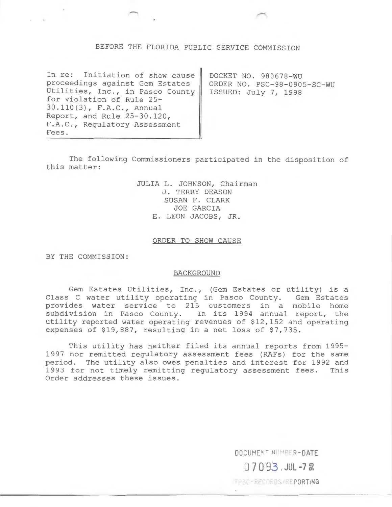# BEFORE THE FLORIDA PUBLIC SERVICE COMMISSION

In re: Initiation of show cause proceedings against Gem Estates Utilities, Inc., in Pasco County for violation of Rule 25- 30.110(3), F.A.C., Annual Report, and Rule 25-30.120, F.A.C., Regulatory Assessment Fees.

DOCKET NO. 980678-WU ORDER NO. PSC-98-0905-SC-WU ISSUED: July 7, 1998

The following Commissioners participated in the disposition of this matter:

> JULIA L. JOHNSON, Chairman J. TERRY DEASON SUSAN F. CLARK JOE GARCIA E. LEON JACOBS, JR.

### ORDER TO SHOW CAUSE

BY THE COMMISSION:

#### BACKGROUND

Gem Estates Utilities, Inc., (Gem Estates or utility) is a Class C water utility operating in Pasco County. Gem Estates provides water service to 215 customers in a mobile home subdivision in Pasco County. In its 1994 annual report, the utility reported water operating revenues of \$12,152 and operating expenses of \$19,887, resulting in a net loss of \$7,735.

This utility has neither filed its annual reports from 1995- 1997 nor remitted regulatory assessment fees (RAFs) for the same period. The utility also owes penalties and interest for 1992 and<br>1993 for not timely remitting regulatory assessment fees. This 1993 for not timely remitting regulatory assessment fees. Order addresses these issues.

> DOCUMENT NUMBER-DATE  $07093.$  JUL -7<sup>8</sup>

FRSC-RECORDS/REPORTING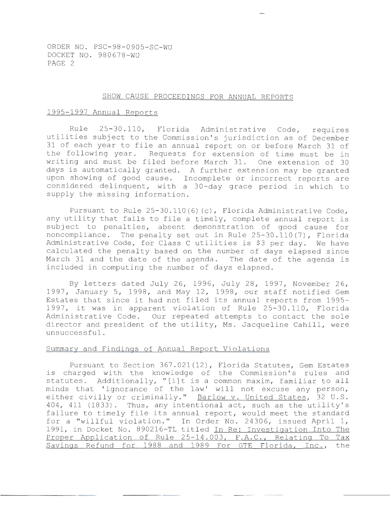#### SHOW CAUSE PROCEEDINGS FOR ANNUAL REPORTS

## 1995-1997 Annual Reports

Rule 25-30.110, Florida Administrative Code, requires utilities subject to the Commission's jurisdiction as of December 31 of each year to file an annual report on or before March 31 of the following year. Requests for extension of time must be in writing and must be filed before March 31. One extension of 30 days is automatically granted. A further extension may be granted upon showing of good cause. Incomplete or incorrect reports are considered delinquent, with a 30-day grace period in which to supply the missing information.

Pursuant to Rule 25-30.110 (6) (c), Florida Administrative Code, any utility that fails to file a timely, complete annual report is subject to penalties, absent demonstration of good cause for noncompliance. The penalty set out in Rule 25-30.110(7), Florida Administrative Code, for Class C utilities is \$3 per day. We have calculated the penalty based on the number of days elapsed since March 31 and the date of the agenda. The date of the agenda is included in computing the number of days elapsed.

By letters dated July 26, 1996, July 28, 1997, November 26, 1997, January 5, 1998, and May 12, 1998, our staff notified Gem Estates that since it had not filed its annual reports from 1995- 1997, it was in apparent violation of Rule 25-30.110, Florida Administrative Code. Our repeated attempts to contact the sole director and president of the utility, Ms. Jacqueline Cahill, were unsuccessful.

## Summary and Findings of Annual Report Violations

Pursuant to Section 367.021(12), Florida Statutes, Gem Estates is charged with the knowledge of the Commission's rules and statutes. Additionally, "[i]t is a common maxim, familiar to all minds that 'ignorance of the law' will not excuse any person, either civilly or criminally." Barlow v. United States, 32 U.S. 404, 411 (1833). Thus, any intentional act, such as the utility's failure to timely file its annual report, would meet the standard for a "willful violation." In Order No. 24306, issued April 1, 1991, in Docket No. 890216-TL titled In Re: Investigation Into The Proper Application of Rule 25-14.003, F.A.C., Relating To Tax Savings Refund for 1988 and 1989 For GTE Florida, Inc., the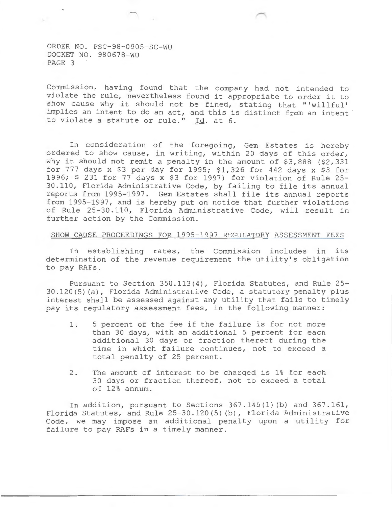Commission, having found that the company had not intended to violate the rule, nevertheless found it appropriate to order it to show cause why it should not be fined, stating that "'willful' implies an intent to do an act, and this is distinct from an intent to violate a statute or rule." Id. at 6.

In consideration of the foregoing, Gem Estates is hereby ordered to show cause, in writing, within 20 days of this order, why it should not remit a penalty in the amount of \$3,888 (\$2,331 for 777 days x \$3 per day for 1995; \$1,326 for 442 days x \$3 for 1996; \$ 231 for 77 days x \$3 for 1997) for violation of Rule 25- 30.110, Florida Administrative Code, by failing to file its annual reports from 1995-1997. Gem Estates shall file its annual reports from 1995-1997, and is hereby put on notice that further violations of Rule 25-30.110, Florida Administrative Code, will result in further action by the Commission.

## SHOW CAUSE PROCEEDINGS FOR 1995-1997 REGULATORY ASSESSMENT FEES

In establishing rates, the Commission includes in its determination of the revenue requirement the utility's obligation to pay RAFs.

Pursuant to Section 350.113(4), Florida Statutes, and Rule 25- 30.120(5) (a), Florida Administrative Code, a statutory penalty plus interest shall be assessed against any utility that fails to timely pay its regulatory assessment fees, in the following manner:

- 1. 5 percent of the fee if the failure is for not more than 30 days, with an additional 5 percent for each additional 30 days or fraction thereof during the time in which failure continues, not to exceed a total penalty of 25 percent.
- 2. The amount of interest to be charged is 1% for each 30 days or fraction thereof, not to exceed a total of 12% annum.

In addition, pursuant to Sections 367.145(1) (b) and 367.161, Florida Statutes, and Rule 25-30.120(5) (b), Florida Administrative Code, we may impose an additional penalty upon a utility for failure to pay RAFs in a timely manner.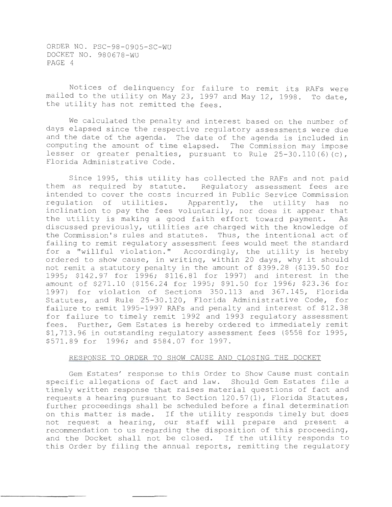Notices of delinquency for failure to remit its RAFs were mailed to the utility on May 23, 1997 and May 12, 1998. To date, the utility has not remitted the fees.

We calculated the penalty and interest based on the number of days elapsed since the respective regulatory assessments were due and the date of the agenda. The date of the agenda is included in computing the amount of time elapsed. The Commission may impose lesser or greater penalties, pursuant to Rule 25-30.110 (6) (c), Florida Administrative Code.

Since 1995, this utility has collected the RAFs and not paid them as required by statute. Regulatory assessment fees are intended to cover the costs incurred in Public Service Commission<br>regulation of utilities. Apparently, the utility has no Apparently, the utility has no inclination to pay the fees voluntarily, nor does it appear that<br>the utility is making a good faith effort toward payment. As the utility is making a good faith effort toward payment. discussed previously, utilities are charged with the knowledge of the Commission's rules and statutes. Thus, the intentional act of failing to remit regulatory assessment fees would meet the standard for a "willful violation." Accordingly, the utility is hereby ordered to show cause, in writing, within 20 days, why it should not remit a statutory penalty in the amount of \$399.28 (\$139.50 for 1995; \$142.97 for 1996; \$116.81 for 1997) and interest in the amount of \$271.10 (\$156.24 for 1995; \$91.50 for 1996; \$23.36 for 1997) for violation of Sections 350.113 and 367.145, Florida Statutes, and Rule 25-30.120, Florida Administrative Code, for failure to remit 1995-1997 RAFs and penalty and interest of \$12.38 for failure to timely remit 1992 and 1993 regulatory assessment fees. Further, Gem Estates is hereby ordered to immediately remit \$1,713.96 in outstanding regulatory assessment fees (\$558 for 1995, \$571.89 for 1996; and \$584.07 for 1997.

# RESPONSE TO ORDER TO SHOW CAUSE AND CLOSING THE DOCKET

Gem Estates' response to this Order to Show Cause must contain specific allegations of fact and law. Should Gem Estates file a timely written response that raises material questions of fact and requests a hearing pursuant to Section 120.57(1), Florida Statutes, further proceedings shall be scheduled before a final determination on this matter is made. If the utility responds timely but does not request a hearing, our staff will prepare and present a recommendation to us regarding the disposition of this proceeding, and the Docket shall not be closed. If the utility responds to this Order by filing the annual reports, remitting the regulatory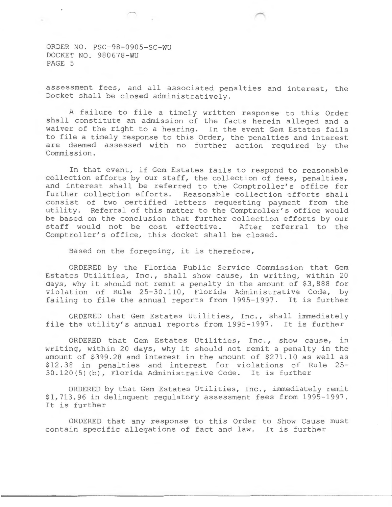$\sim$ 

assessment fees, and all associated penalties and interest, the Docket shall be closed administratively.

A failure to file a timely written response to this Order shall constitute an admission of the facts herein alleged and a waiver of the right to a hearing. In the event Gem Estates fails to file a timely response to this Order, the penalties and interest are deemed assessed with no further action required by the Commission.

In that event, if Gem Estates fails to respond to reasonable collection efforts by our staff, the collection of fees, penalties, and interest shall be referred to the Comptroller's office for further collection efforts. Reasonable collection efforts shall consist of two certified letters requesting payment from the utility. Referral of this matter to the Comptroller's office would be based on the conclusion that further collection efforts by our staff would not be cost effective. After referral to the staff would not be cost effective. Comptroller's office, this docket shall be closed.

Based on the foregoing, it is therefore,

ORDERED by the Florida Public Service Commission that Gem Estates Utilities, Inc., shall show cause, in writing, within 20 days, why it should not remit a penalty in the amount of \$3,888 for violation of Rule 25-30.110, Florida Administrative Code, by failing to file the annual reports from 1995-1997. It is further

ORDERED that Gem Estates Utilities, Inc., shall immediately<br>the utility's annual reports from 1995-1997. It is further file the utility's annual reports from 1995-1997.

ORDERED that Gem Estates Utilities, Inc., show cause, in writing, within 20 days, why it should not remit a penalty in the amount of \$399.28 and interest in the amount of \$271.10 as well as \$12.38 in penalties and interest for violations of Rule 25- 30.120 (5) (b), Florida Administrative Code. It is further

ORDERED by that Gem Estates Utilities, Inc., immediately remit \$1,713.96 in delinquent regulatory assessment fees from 1995-1997. It is further

ORDERED that any response to this Order to Show Cause must contain specific allegations of fact and law. It is further

----------------------------- ---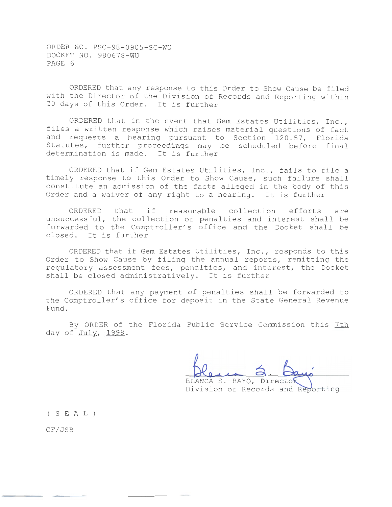ORDERED that any response to this Order to Show Cause be filed with the Director of the Division of Records and Reporting within 20 days of this Order. It is further

ORDERED that in the event that Gem Estates Utilities, Inc., files a written response which raises material questions of fact and requests a hearing pursuant to Section 120.57, Florida Statutes, further proceedings may be scheduled before final determination is made. It is further

ORDERED that if Gem Estates Utilities, Inc., fails to file a timely response to this Order to Show Cause, such failure shall constitute an admission of the facts alleged in the body of this Order and a waiver of any right to a hearing. It is further

ORDERED that if reasonable collection efforts are unsuccessful, the collection of penalties and interest shall be forwarded to the Comptroller's office and the Docket shall be closed. It is further

ORDERED that if Gem Estates Utilities, Inc., responds to this Order to Show Cause by filing the annual reports, remitting the regulatory assessment fees, penalties, and interest, the Docket shall be closed administratively. It is further

ORDERED that any payment of penalties shall be forwarded to the Comptroller's office for deposit in the State General Revenue Fund.

By ORDER of the Florida Public Service Commission this 7th day of July, 1998.

BLANCA S. BAYÓ, Director Division of Records and Reporting

( S E A L )

CF/JSB